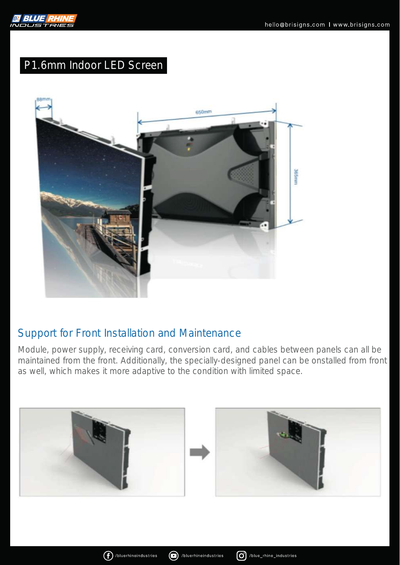

# P1.6mm Indoor LED Screen



#### Support for Front Installation and Maintenance

Module, power supply, receiving card, conversion card, and cables between panels can all be maintained from the front. Additionally, the specially-designed panel can be onstalled from front as well, which makes it more adaptive to the condition with limited space.





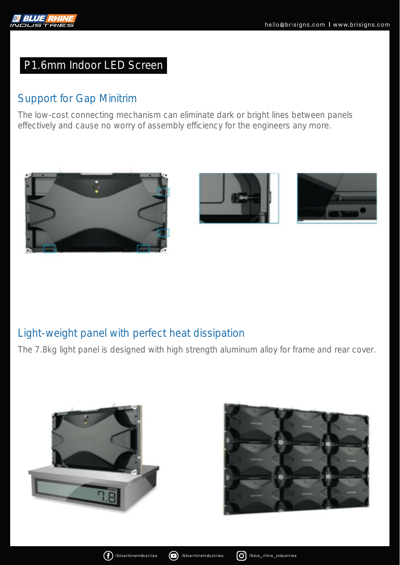

### P1.6mm Indoor LED Screen

### Support for Gap Minitrim

The low-cost connecting mechanism can eliminate dark or bright lines between panels effectively and cause no worry of assembly efficiency for the engineers any more.







#### Light-weight panel with perfect heat dissipation

The 7.8kg light panel is designed with high strength aluminum alloy for frame and rear cover.